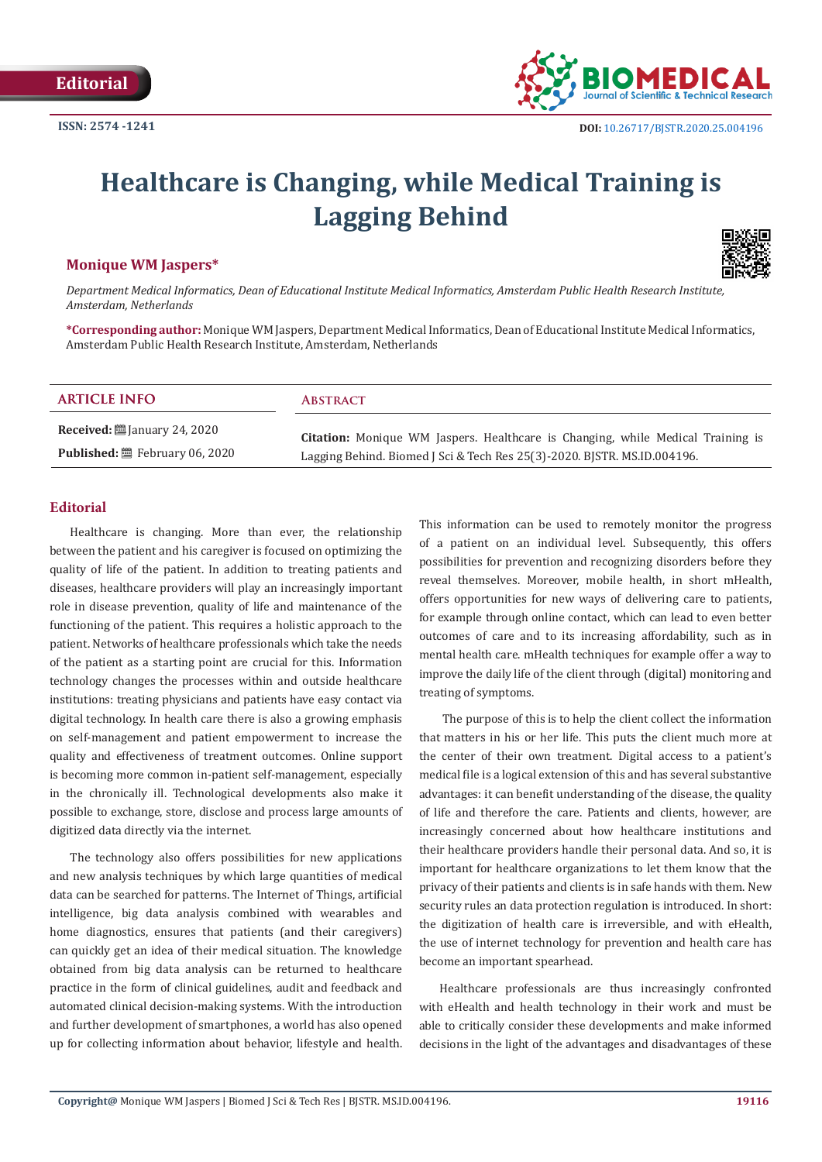

# **Healthcare is Changing, while Medical Training is Lagging Behind**

## **Monique WM Jaspers\***



*Department Medical Informatics, Dean of Educational Institute Medical Informatics, Amsterdam Public Health Research Institute, Amsterdam, Netherlands*

**\*Corresponding author:** Monique WM Jaspers, Department Medical Informatics, Dean of Educational Institute Medical Informatics, Amsterdam Public Health Research Institute, Amsterdam, Netherlands

# **Received:** ■ January 24, 2020 **ARTICLE INFO Abstract**

**Published:** February 06, 2020

**Citation:** Monique WM Jaspers. Healthcare is Changing, while Medical Training is Lagging Behind. Biomed J Sci & Tech Res 25(3)-2020. BJSTR. MS.ID.004196.

## **Editorial**

Healthcare is changing. More than ever, the relationship between the patient and his caregiver is focused on optimizing the quality of life of the patient. In addition to treating patients and diseases, healthcare providers will play an increasingly important role in disease prevention, quality of life and maintenance of the functioning of the patient. This requires a holistic approach to the patient. Networks of healthcare professionals which take the needs of the patient as a starting point are crucial for this. Information technology changes the processes within and outside healthcare institutions: treating physicians and patients have easy contact via digital technology. In health care there is also a growing emphasis on self-management and patient empowerment to increase the quality and effectiveness of treatment outcomes. Online support is becoming more common in-patient self-management, especially in the chronically ill. Technological developments also make it possible to exchange, store, disclose and process large amounts of digitized data directly via the internet.

The technology also offers possibilities for new applications and new analysis techniques by which large quantities of medical data can be searched for patterns. The Internet of Things, artificial intelligence, big data analysis combined with wearables and home diagnostics, ensures that patients (and their caregivers) can quickly get an idea of their medical situation. The knowledge obtained from big data analysis can be returned to healthcare practice in the form of clinical guidelines, audit and feedback and automated clinical decision-making systems. With the introduction and further development of smartphones, a world has also opened up for collecting information about behavior, lifestyle and health.

This information can be used to remotely monitor the progress of a patient on an individual level. Subsequently, this offers possibilities for prevention and recognizing disorders before they reveal themselves. Moreover, mobile health, in short mHealth, offers opportunities for new ways of delivering care to patients, for example through online contact, which can lead to even better outcomes of care and to its increasing affordability, such as in mental health care. mHealth techniques for example offer a way to improve the daily life of the client through (digital) monitoring and treating of symptoms.

 The purpose of this is to help the client collect the information that matters in his or her life. This puts the client much more at the center of their own treatment. Digital access to a patient's medical file is a logical extension of this and has several substantive advantages: it can benefit understanding of the disease, the quality of life and therefore the care. Patients and clients, however, are increasingly concerned about how healthcare institutions and their healthcare providers handle their personal data. And so, it is important for healthcare organizations to let them know that the privacy of their patients and clients is in safe hands with them. New security rules an data protection regulation is introduced. In short: the digitization of health care is irreversible, and with eHealth, the use of internet technology for prevention and health care has become an important spearhead.

Healthcare professionals are thus increasingly confronted with eHealth and health technology in their work and must be able to critically consider these developments and make informed decisions in the light of the advantages and disadvantages of these